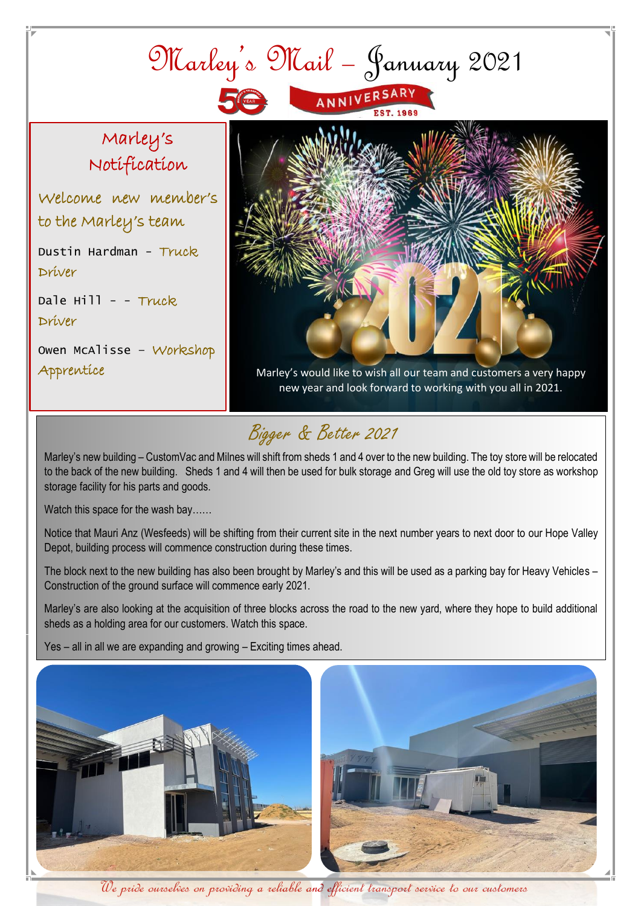

## Bigger & Better 2021

Marley's new building – CustomVac and Milnes will shift from sheds 1 and 4 over to the new building. The toy store will be relocated to the back of the new building. Sheds 1 and 4 will then be used for bulk storage and Greg will use the old toy store as workshop storage facility for his parts and goods.

Watch this space for the wash bay……

Notice that Mauri Anz (Wesfeeds) will be shifting from their current site in the next number years to next door to our Hope Valley Depot, building process will commence construction during these times.

The block next to the new building has also been brought by Marley's and this will be used as a parking bay for Heavy Vehicles – Construction of the ground surface will commence early 2021.

Marley's are also looking at the acquisition of three blocks across the road to the new yard, where they hope to build additional sheds as a holding area for our customers. Watch this space.

Yes – all in all we are expanding and growing – Exciting times ahead.



We pride ourselves on providing a reliable and efficient transport service to our customers